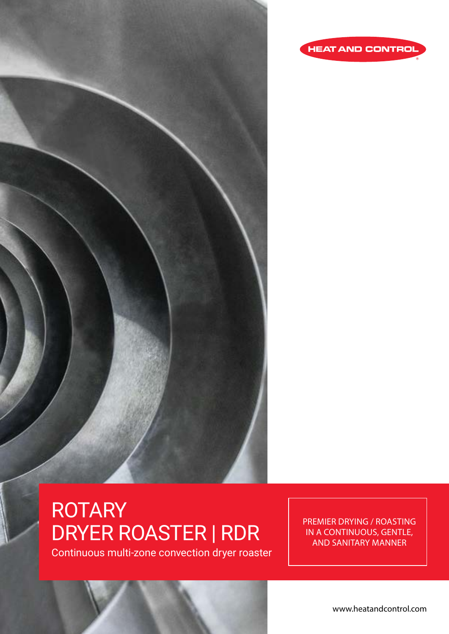



# ROTARY DRYER ROASTER | RDR

Continuous multi-zone convection dryer roaster

PREMIER DRYING / ROASTING IN A CONTINUOUS, GENTLE, AND SANITARY MANNER

www.heatandcontrol.com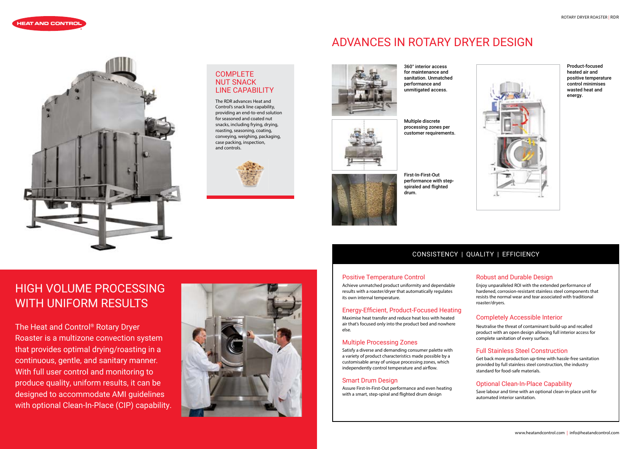#### Positive Temperature Control

Achieve unmatched product uniformity and dependable results with a roaster/dryer that automatically regulates its own internal temperature.

### Energy-Efficient, Product-Focused Heating

Maximise heat transfer and reduce heat loss with heated air that's focused only into the product bed and nowhere else.

#### Multiple Processing Zones

Satisfy a diverse and demanding consumer palette with a variety of product characteristics made possible by a customisable array of unique processing zones, which independently control temperature and airflow.

#### Smart Drum Design

Assure First-In-First-Out performance and even heating with a smart, step-spiral and flighted drum design

#### Robust and Durable Design

Enjoy unparalleled ROI with the extended performance of hardened, corrosion-resistant stainless steel components that resists the normal wear and tear associated with traditional roaster/dryers.

#### Completely Accessible Interior

Neutralise the threat of contaminant build-up and recalled product with an open design allowing full interior access for complete sanitation of every surface.

#### Full Stainless Steel Construction

Get back more production up-time with hassle-free sanitation provided by full stainless steel construction, the industry standard for food-safe materials.





### COMPLETE NUT SNACK LINE CAPABILITY

#### Optional Clean-In-Place Capability

Save labour and time with an optional clean-in-place unit for automated interior sanitation.



Product-focused heated air and positive temperature control minimises wasted heat and energy.

Multiple discrete processing zones per customer requirements.



First-In-First-Out performance with stepspiraled and flighted drum.

360° interior access for maintenance and sanitation. Unmatched performance and unmitigated access.

## CONSISTENCY | QUALITY | EFFICIENCY

# ADVANCES IN ROTARY DRYER DESIGN



# HIGH VOLUME PROCESSING WITH UNIFORM RESULTS

The Heat and Control® Rotary Dryer Roaster is a multizone convection system that provides optimal drying/roasting in a continuous, gentle, and sanitary manner. With full user control and monitoring to produce quality, uniform results, it can be designed to accommodate AMI guidelines with optional Clean-In-Place (CIP) capability.



The RDR advances Heat and Control's snack line capability, providing an end-to-end solution for seasoned and coated nut snacks, including frying, drying, roasting, seasoning, coating, conveying, weighing, packaging, case packing, inspection, and controls.